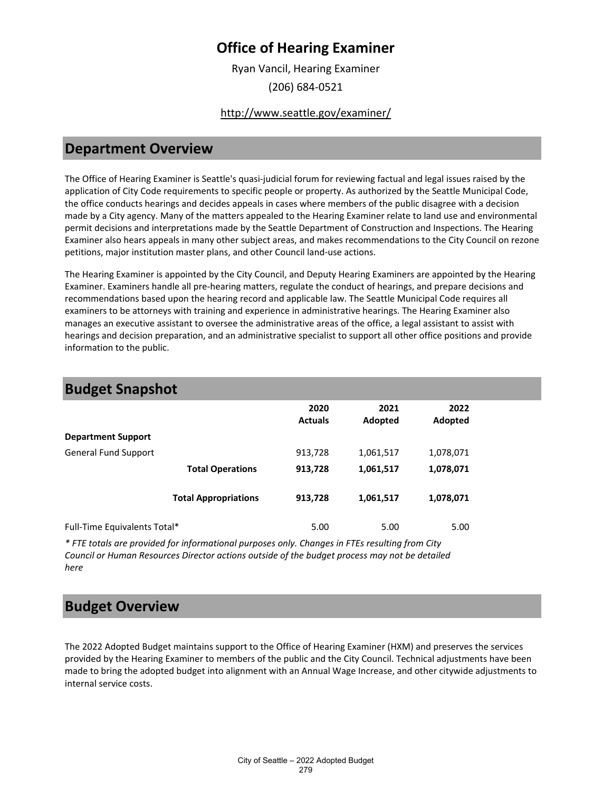## **Office of Hearing Examiner**

Ryan Vancil, Hearing Examiner (206) 684-0521

#### <http://www.seattle.gov/examiner/>

#### **Department Overview**

The Office of Hearing Examiner is Seattle's quasi-judicial forum for reviewing factual and legal issues raised by the application of City Code requirements to specific people or property. As authorized by the Seattle Municipal Code, the office conducts hearings and decides appeals in cases where members of the public disagree with a decision made by a City agency. Many of the matters appealed to the Hearing Examiner relate to land use and environmental permit decisions and interpretations made by the Seattle Department of Construction and Inspections. The Hearing Examiner also hears appeals in many other subject areas, and makes recommendations to the City Council on rezone petitions, major institution master plans, and other Council land-use actions.

The Hearing Examiner is appointed by the City Council, and Deputy Hearing Examiners are appointed by the Hearing Examiner. Examiners handle all pre-hearing matters, regulate the conduct of hearings, and prepare decisions and recommendations based upon the hearing record and applicable law. The Seattle Municipal Code requires all examiners to be attorneys with training and experience in administrative hearings. The Hearing Examiner also manages an executive assistant to oversee the administrative areas of the office, a legal assistant to assist with hearings and decision preparation, and an administrative specialist to support all other office positions and provide information to the public.

| <b>Budget Snapshot</b>       |                             |                        |                 |                 |  |
|------------------------------|-----------------------------|------------------------|-----------------|-----------------|--|
|                              |                             | 2020<br><b>Actuals</b> | 2021<br>Adopted | 2022<br>Adopted |  |
| <b>Department Support</b>    |                             |                        |                 |                 |  |
| <b>General Fund Support</b>  |                             | 913,728                | 1,061,517       | 1,078,071       |  |
|                              | <b>Total Operations</b>     | 913,728                | 1,061,517       | 1,078,071       |  |
|                              | <b>Total Appropriations</b> | 913,728                | 1,061,517       | 1,078,071       |  |
| Full-Time Equivalents Total* |                             | 5.00                   | 5.00            | 5.00            |  |

*\* FTE totals are provided for informational purposes only. Changes in FTEs resulting from City Council or Human Resources Director actions outside of the budget process may not be detailed here*

#### **Budget Overview**

The 2022 Adopted Budget maintains support to the Office of Hearing Examiner (HXM) and preserves the services provided by the Hearing Examiner to members of the public and the City Council. Technical adjustments have been made to bring the adopted budget into alignment with an Annual Wage Increase, and other citywide adjustments to internal service costs.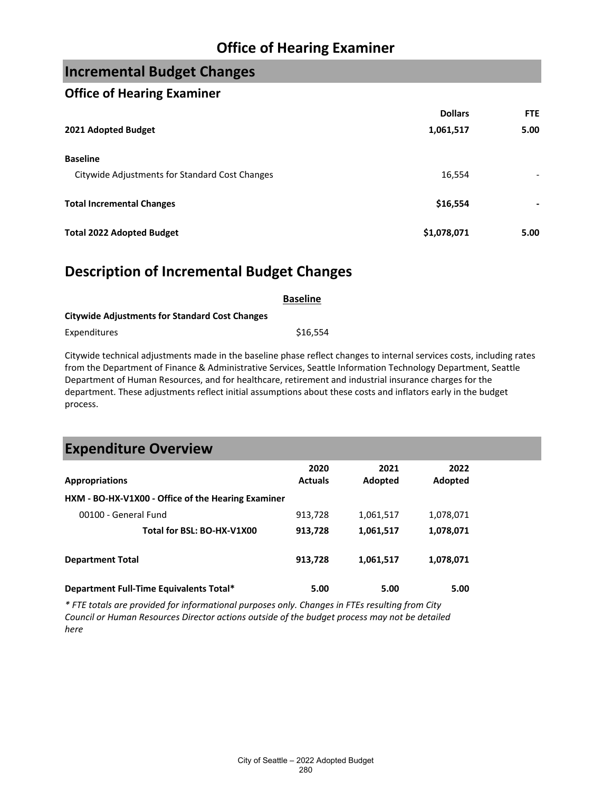## **Office of Hearing Examiner**

## **Incremental Budget Changes**

#### **Office of Hearing Examiner**

|                                                | <b>Dollars</b> | FTE                      |
|------------------------------------------------|----------------|--------------------------|
| 2021 Adopted Budget                            | 1,061,517      | 5.00                     |
| <b>Baseline</b>                                |                |                          |
| Citywide Adjustments for Standard Cost Changes | 16,554         |                          |
| <b>Total Incremental Changes</b>               | \$16,554       | $\overline{\phantom{0}}$ |
| <b>Total 2022 Adopted Budget</b>               | \$1,078,071    | 5.00                     |

#### **Description of Incremental Budget Changes**

|                                                       | <b>Baseline</b> |
|-------------------------------------------------------|-----------------|
| <b>Citywide Adjustments for Standard Cost Changes</b> |                 |
| Expenditures                                          | \$16.554        |

Citywide technical adjustments made in the baseline phase reflect changes to internal services costs, including rates from the Department of Finance & Administrative Services, Seattle Information Technology Department, Seattle Department of Human Resources, and for healthcare, retirement and industrial insurance charges for the department. These adjustments reflect initial assumptions about these costs and inflators early in the budget process.

| <b>Expenditure Overview</b>                        |                        |                 |                 |  |
|----------------------------------------------------|------------------------|-----------------|-----------------|--|
| <b>Appropriations</b>                              | 2020<br><b>Actuals</b> | 2021<br>Adopted | 2022<br>Adopted |  |
| HXM - BO-HX-V1X00 - Office of the Hearing Examiner |                        |                 |                 |  |
| 00100 - General Fund                               | 913,728                | 1,061,517       | 1,078,071       |  |
| Total for BSL: BO-HX-V1X00                         | 913,728                | 1,061,517       | 1,078,071       |  |
| <b>Department Total</b>                            | 913,728                | 1,061,517       | 1,078,071       |  |
| Department Full-Time Equivalents Total*            | 5.00                   | 5.00            | 5.00            |  |

*\* FTE totals are provided for informational purposes only. Changes in FTEs resulting from City Council or Human Resources Director actions outside of the budget process may not be detailed here*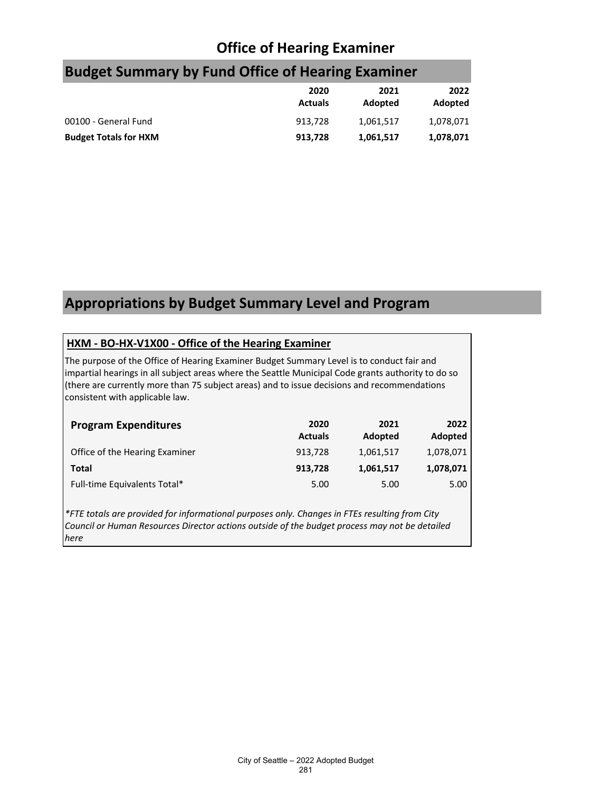# **Office of Hearing Examiner**

|                              | 2020<br><b>Actuals</b> | 2021<br>Adopted | 2022<br>Adopted |
|------------------------------|------------------------|-----------------|-----------------|
| 00100 - General Fund         | 913.728                | 1,061,517       | 1,078,071       |
| <b>Budget Totals for HXM</b> | 913,728                | 1,061,517       | 1,078,071       |

# **Budget Summary by Fund Office of Hearing Examiner**

# **Appropriations by Budget Summary Level and Program**

#### **HXM - BO-HX-V1X00 - Office of the Hearing Examiner**

The purpose of the Office of Hearing Examiner Budget Summary Level is to conduct fair and impartial hearings in all subject areas where the Seattle Municipal Code grants authority to do so (there are currently more than 75 subject areas) and to issue decisions and recommendations consistent with applicable law.

| <b>Program Expenditures</b>    | 2020<br><b>Actuals</b> | 2021<br>Adopted | 2022<br>Adopted |
|--------------------------------|------------------------|-----------------|-----------------|
| Office of the Hearing Examiner | 913.728                | 1,061,517       | 1,078,071       |
| Total                          | 913,728                | 1,061,517       | 1,078,071       |
| Full-time Equivalents Total*   | 5.00                   | 5.00            | 5.00            |

*\*FTE totals are provided for informational purposes only. Changes in FTEs resulting from City Council or Human Resources Director actions outside of the budget process may not be detailed here*